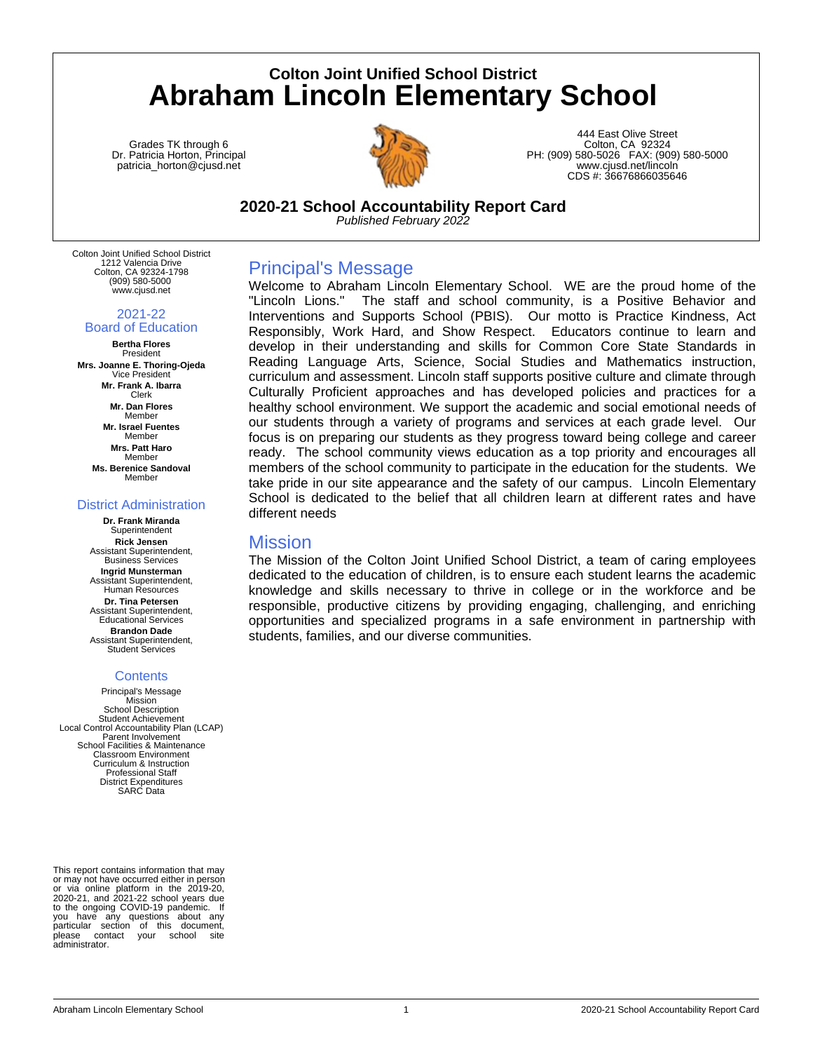# **Colton Joint Unified School District Abraham Lincoln Elementary School**

Grades TK through 6 Dr. Patricia Horton, Principal patricia\_horton@cjusd.net



444 East Olive Street Colton, CA 92324 PH: (909) 580-5026 FAX: (909) 580-5000 www.cjusd.net/lincoln CDS #: 36676866035646

**2020-21 School Accountability Report Card** *Published February 2022*

Colton Joint Unified School District 1212 Valencia Drive Colton, CA 92324-1798 (909) 580-5000 www.cjusd.net

2021-22

## Board of Education

**Bertha Flores** President **Mrs. Joanne E. Thoring-Ojeda** Vice President **Mr. Frank A. Ibarra** Clerk **Mr. Dan Flores** Member **Mr. Israel Fuentes** Member **Mrs. Patt Haro** Member **Ms. Berenice Sandoval** Member

#### District Administration

**Dr. Frank Miranda** Superintendent **Rick Jensen** Assistant Superintendent, Business Services **Ingrid Munsterman** Assistant Superintendent, Human Resources **Dr. Tina Petersen** Assistant Superintendent, Educational Services **Brandon Dade** Assistant Superintendent, Student Services

### **Contents**

Principal's Message **Mission** School Description Student Achievement Local Control Accountability Plan (LCAP) Parent Involvement School Facilities & Maintenance Classroom Environment Curriculum & Instruction Professional Staff District Expenditures SARC Data

This report contains information that may or may not have occurred either in person or via online platform in the 2019-20, 2020-21, and 2021-22 school years due to the ongoing COVID-19 pandemic. If you have any questions about any particular section of this document,<br>please contact your school site contact your administrator.

## Principal's Message

Welcome to Abraham Lincoln Elementary School. WE are the proud home of the "Lincoln Lions." The staff and school community, is a Positive Behavior and Interventions and Supports School (PBIS). Our motto is Practice Kindness, Act Responsibly, Work Hard, and Show Respect. Educators continue to learn and develop in their understanding and skills for Common Core State Standards in Reading Language Arts, Science, Social Studies and Mathematics instruction, curriculum and assessment. Lincoln staff supports positive culture and climate through Culturally Proficient approaches and has developed policies and practices for a healthy school environment. We support the academic and social emotional needs of our students through a variety of programs and services at each grade level. Our focus is on preparing our students as they progress toward being college and career ready. The school community views education as a top priority and encourages all members of the school community to participate in the education for the students. We take pride in our site appearance and the safety of our campus. Lincoln Elementary School is dedicated to the belief that all children learn at different rates and have different needs

### **Mission**

The Mission of the Colton Joint Unified School District, a team of caring employees dedicated to the education of children, is to ensure each student learns the academic knowledge and skills necessary to thrive in college or in the workforce and be responsible, productive citizens by providing engaging, challenging, and enriching opportunities and specialized programs in a safe environment in partnership with students, families, and our diverse communities.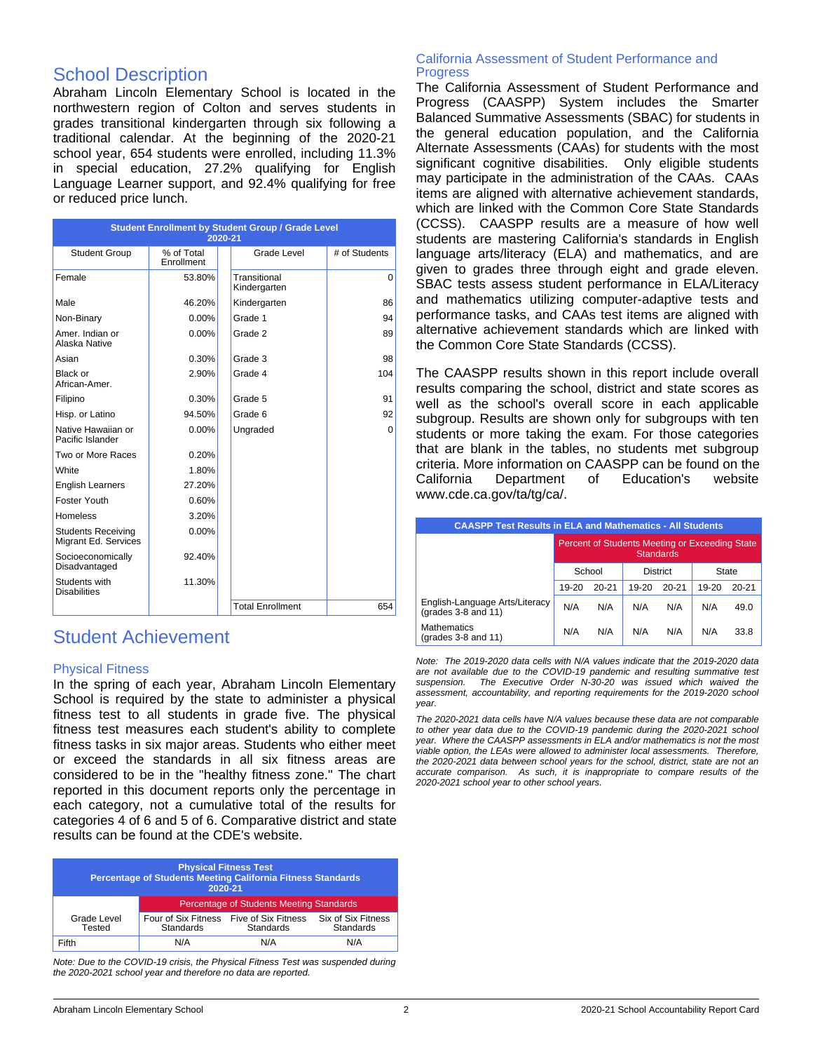## School Description

Abraham Lincoln Elementary School is located in the northwestern region of Colton and serves students in grades transitional kindergarten through six following a traditional calendar. At the beginning of the 2020-21 school year, 654 students were enrolled, including 11.3% in special education, 27.2% qualifying for English Language Learner support, and 92.4% qualifying for free or reduced price lunch.

| <b>Student Enrollment by Student Group / Grade Level</b><br>2020-21 |                                 |                              |               |  |
|---------------------------------------------------------------------|---------------------------------|------------------------------|---------------|--|
| <b>Student Group</b>                                                | % of Total<br><b>Fnrollment</b> | Grade Level                  | # of Students |  |
| Female                                                              | 53.80%                          | Transitional<br>Kindergarten | 0             |  |
| Male                                                                | 46.20%                          | Kindergarten                 | 86            |  |
| Non-Binary                                                          | $0.00\%$                        | Grade 1                      | 94            |  |
| Amer, Indian or<br>Alaska Native                                    | $0.00\%$                        | Grade 2                      | 89            |  |
| Asian                                                               | 0.30%                           | Grade 3                      | 98            |  |
| Black or<br>African-Amer.                                           | 2.90%                           | Grade 4                      | 104           |  |
| Filipino                                                            | 0.30%                           | Grade 5                      | 91            |  |
| Hisp. or Latino                                                     | 94.50%                          | Grade 6                      | 92            |  |
| Native Hawaiian or<br>Pacific Islander                              | 0.00%                           | Ungraded                     | 0             |  |
| Two or More Races                                                   | 0.20%                           |                              |               |  |
| White                                                               | 1.80%                           |                              |               |  |
| <b>English Learners</b>                                             | 27.20%                          |                              |               |  |
| Foster Youth                                                        | 0.60%                           |                              |               |  |
| <b>Homeless</b>                                                     | 3.20%                           |                              |               |  |
| <b>Students Receiving</b><br>Migrant Ed. Services                   | 0.00%                           |                              |               |  |
| Socioeconomically<br>Disadvantaged                                  | 92.40%                          |                              |               |  |
| Students with<br><b>Disabilities</b>                                | 11.30%                          |                              |               |  |
|                                                                     |                                 | <b>Total Enrollment</b>      | 654           |  |

## Student Achievement

#### Physical Fitness

In the spring of each year, Abraham Lincoln Elementary School is required by the state to administer a physical fitness test to all students in grade five. The physical fitness test measures each student's ability to complete fitness tasks in six major areas. Students who either meet or exceed the standards in all six fitness areas are considered to be in the "healthy fitness zone." The chart reported in this document reports only the percentage in each category, not a cumulative total of the results for categories 4 of 6 and 5 of 6. Comparative district and state results can be found at the CDE's website.

| <b>Physical Fitness Test</b><br>Percentage of Students Meeting California Fitness Standards<br>2020-21 |                                                      |                  |                                 |
|--------------------------------------------------------------------------------------------------------|------------------------------------------------------|------------------|---------------------------------|
|                                                                                                        | <b>Percentage of Students Meeting Standards</b>      |                  |                                 |
| Grade Level<br>Tested                                                                                  | Four of Six Fitness Five of Six Fitness<br>Standards | <b>Standards</b> | Six of Six Fitness<br>Standards |
| Fifth                                                                                                  | N/A                                                  | N/A              | N/A                             |

*Note: Due to the COVID-19 crisis, the Physical Fitness Test was suspended during the 2020-2021 school year and therefore no data are reported.*

#### California Assessment of Student Performance and **Progress**

The California Assessment of Student Performance and Progress (CAASPP) System includes the Smarter Balanced Summative Assessments (SBAC) for students in the general education population, and the California Alternate Assessments (CAAs) for students with the most significant cognitive disabilities. Only eligible students may participate in the administration of the CAAs. CAAs items are aligned with alternative achievement standards, which are linked with the Common Core State Standards (CCSS). CAASPP results are a measure of how well students are mastering California's standards in English language arts/literacy (ELA) and mathematics, and are given to grades three through eight and grade eleven. SBAC tests assess student performance in ELA/Literacy and mathematics utilizing computer-adaptive tests and performance tasks, and CAAs test items are aligned with alternative achievement standards which are linked with the Common Core State Standards (CCSS).

The CAASPP results shown in this report include overall results comparing the school, district and state scores as well as the school's overall score in each applicable subgroup. Results are shown only for subgroups with ten students or more taking the exam. For those categories that are blank in the tables, no students met subgroup criteria. More information on CAASPP can be found on the California Department of Education's website www.cde.ca.gov/ta/tg/ca/.

| <b>CAASPP Test Results in ELA and Mathematics - All Students</b> |                                                                    |           |       |                 |           |           |
|------------------------------------------------------------------|--------------------------------------------------------------------|-----------|-------|-----------------|-----------|-----------|
|                                                                  | Percent of Students Meeting or Exceeding State<br><b>Standards</b> |           |       |                 |           |           |
|                                                                  |                                                                    | School    |       | <b>District</b> |           | State     |
|                                                                  | 19-20                                                              | $20 - 21$ | 19-20 | $20 - 21$       | $19 - 20$ | $20 - 21$ |
| English-Language Arts/Literacy<br>(grades 3-8 and 11)            | N/A                                                                | N/A       | N/A   | N/A             | N/A       | 49.0      |
| <b>Mathematics</b><br>(grades 3-8 and 11)                        | N/A                                                                | N/A       | N/A   | N/A             | N/A       | 33.8      |

*Note: The 2019-2020 data cells with N/A values indicate that the 2019-2020 data are not available due to the COVID-19 pandemic and resulting summative test* The Executive Order N-30-20 was issued which waived the *assessment, accountability, and reporting requirements for the 2019-2020 school year.*

*The 2020-2021 data cells have N/A values because these data are not comparable to other year data due to the COVID-19 pandemic during the 2020-2021 school year. Where the CAASPP assessments in ELA and/or mathematics is not the most viable option, the LEAs were allowed to administer local assessments. Therefore, the 2020-2021 data between school years for the school, district, state are not an accurate comparison. As such, it is inappropriate to compare results of the 2020-2021 school year to other school years.*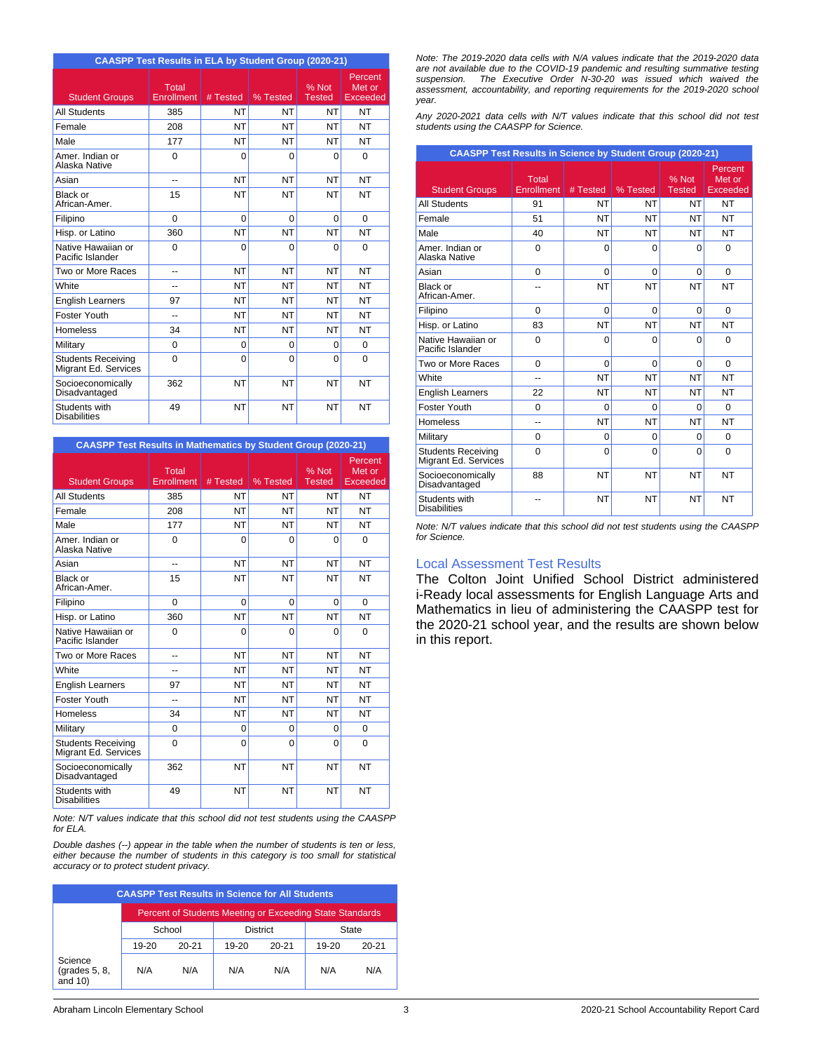| <b>CAASPP Test Results in ELA by Student Group (2020-21)</b> |                            |           |           |                 |                                      |
|--------------------------------------------------------------|----------------------------|-----------|-----------|-----------------|--------------------------------------|
| <b>Student Groups</b>                                        | Total<br><b>Enrollment</b> | # Tested  | % Tested  | % Not<br>Tested | Percent<br>Met or<br><b>Exceeded</b> |
| <b>All Students</b>                                          | 385                        | NT        | <b>NT</b> | <b>NT</b>       | <b>NT</b>                            |
| Female                                                       | 208                        | NT        | <b>NT</b> | <b>NT</b>       | <b>NT</b>                            |
| Male                                                         | 177                        | <b>NT</b> | <b>NT</b> | <b>NT</b>       | <b>NT</b>                            |
| Amer, Indian or<br>Alaska Native                             | $\Omega$                   | $\Omega$  | $\Omega$  | $\Omega$        | $\Omega$                             |
| Asian                                                        | --                         | NT        | <b>NT</b> | <b>NT</b>       | <b>NT</b>                            |
| Black or<br>African-Amer.                                    | 15                         | NT        | <b>NT</b> | <b>NT</b>       | <b>NT</b>                            |
| Filipino                                                     | $\Omega$                   | $\Omega$  | $\Omega$  | $\Omega$        | $\Omega$                             |
| Hisp. or Latino                                              | 360                        | <b>NT</b> | <b>NT</b> | <b>NT</b>       | <b>NT</b>                            |
| Native Hawaiian or<br>Pacific Islander                       | $\Omega$                   | 0         | $\Omega$  | $\Omega$        | $\Omega$                             |
| Two or More Races                                            |                            | NT        | <b>NT</b> | <b>NT</b>       | <b>NT</b>                            |
| White                                                        | --                         | NT        | <b>NT</b> | <b>NT</b>       | <b>NT</b>                            |
| <b>English Learners</b>                                      | 97                         | <b>NT</b> | <b>NT</b> | <b>NT</b>       | <b>NT</b>                            |
| <b>Foster Youth</b>                                          | $\overline{a}$             | NT        | <b>NT</b> | <b>NT</b>       | <b>NT</b>                            |
| Homeless                                                     | 34                         | NT        | <b>NT</b> | <b>NT</b>       | <b>NT</b>                            |
| Military                                                     | $\Omega$                   | $\Omega$  | $\Omega$  | $\Omega$        | $\Omega$                             |
| <b>Students Receiving</b><br>Migrant Ed. Services            | 0                          | 0         | 0         | $\Omega$        | $\Omega$                             |
| Socioeconomically<br>Disadvantaged                           | 362                        | NT        | <b>NT</b> | <b>NT</b>       | <b>NT</b>                            |
| Students with<br><b>Disabilities</b>                         | 49                         | NT        | <b>NT</b> | <b>NT</b>       | <b>NT</b>                            |

| <b>CAASPP Test Results in Mathematics by Student Group (2020-21)</b> |                               |           |           |                        |                               |
|----------------------------------------------------------------------|-------------------------------|-----------|-----------|------------------------|-------------------------------|
| <b>Student Groups</b>                                                | $I$ otal<br><b>Enrollment</b> | # Tested  | % Tested  | % Not<br><b>Tested</b> | Percent<br>Met or<br>Exceeded |
| <b>All Students</b>                                                  | 385                           | NT        | <b>NT</b> | <b>NT</b>              | <b>NT</b>                     |
| Female                                                               | 208                           | <b>NT</b> | <b>NT</b> | <b>NT</b>              | <b>NT</b>                     |
| Male                                                                 | 177                           | <b>NT</b> | <b>NT</b> | <b>NT</b>              | <b>NT</b>                     |
| Amer, Indian or<br>Alaska Native                                     | $\Omega$                      | $\Omega$  | $\Omega$  | $\Omega$               | $\Omega$                      |
| Asian                                                                | $\overline{a}$                | <b>NT</b> | <b>NT</b> | <b>NT</b>              | <b>NT</b>                     |
| Black or<br>African-Amer.                                            | 15                            | NT        | NT        | <b>NT</b>              | NT                            |
| Filipino                                                             | $\Omega$                      | $\Omega$  | $\Omega$  | $\Omega$               | $\Omega$                      |
| Hisp. or Latino                                                      | 360                           | <b>NT</b> | NT        | <b>NT</b>              | NT                            |
| Native Hawaiian or<br>Pacific Islander                               | 0                             | 0         | 0         | $\Omega$               | $\Omega$                      |
| Two or More Races                                                    | $\overline{a}$                | <b>NT</b> | <b>NT</b> | <b>NT</b>              | <b>NT</b>                     |
| White                                                                | --                            | NT        | <b>NT</b> | <b>NT</b>              | NT                            |
| <b>English Learners</b>                                              | 97                            | NT        | <b>NT</b> | <b>NT</b>              | NT                            |
| Foster Youth                                                         | ۵.                            | <b>NT</b> | <b>NT</b> | <b>NT</b>              | NT                            |
| Homeless                                                             | 34                            | NT        | <b>NT</b> | <b>NT</b>              | NT                            |
| Military                                                             | $\Omega$                      | $\Omega$  | $\Omega$  | $\Omega$               | $\Omega$                      |
| <b>Students Receiving</b><br>Migrant Ed. Services                    | 0                             | $\Omega$  | $\Omega$  | $\Omega$               | $\Omega$                      |
| Socioeconomically<br>Disadvantaged                                   | 362                           | NT        | <b>NT</b> | <b>NT</b>              | NT                            |
| Students with<br><b>Disabilities</b>                                 | 49                            | NT        | <b>NT</b> | <b>NT</b>              | NT                            |

*Note: N/T values indicate that this school did not test students using the CAASPP for ELA.*

*Double dashes (--) appear in the table when the number of students is ten or less, either because the number of students in this category is too small for statistical accuracy or to protect student privacy.*

|                                        |         |           |           | <b>CAASPP Test Results in Science for All Students</b>   |           |           |
|----------------------------------------|---------|-----------|-----------|----------------------------------------------------------|-----------|-----------|
|                                        |         |           |           | Percent of Students Meeting or Exceeding State Standards |           |           |
|                                        |         | School    |           | <b>District</b>                                          |           | State     |
|                                        | $19-20$ | $20 - 21$ | $19 - 20$ | $20 - 21$                                                | $19 - 20$ | $20 - 21$ |
| Science<br>(grades 5, 8,<br>and $10$ ) | N/A     | N/A       | N/A       | N/A                                                      | N/A       | N/A       |

*Note: The 2019-2020 data cells with N/A values indicate that the 2019-2020 data are not available due to the COVID-19 pandemic and resulting summative testing suspension. The Executive Order N-30-20 was issued which waived the assessment, accountability, and reporting requirements for the 2019-2020 school year.*

*Any 2020-2021 data cells with N/T values indicate that this school did not test students using the CAASPP for Science.*

| <b>CAASPP Test Results in Science by Student Group (2020-21)</b> |                     |           |           |                        |                               |
|------------------------------------------------------------------|---------------------|-----------|-----------|------------------------|-------------------------------|
| <b>Student Groups</b>                                            | Total<br>Enrollment | # Tested  | % Tested  | % Not<br><b>Tested</b> | Percent<br>Met or<br>Exceeded |
| <b>All Students</b>                                              | 91                  | NT        | <b>NT</b> | NT                     | NT                            |
| Female                                                           | 51                  | <b>NT</b> | NT        | <b>NT</b>              | NT                            |
| Male                                                             | 40                  | <b>NT</b> | <b>NT</b> | NT                     | NΤ                            |
| Amer, Indian or<br>Alaska Native                                 | $\Omega$            | 0         | $\Omega$  | $\Omega$               | $\Omega$                      |
| Asian                                                            | $\Omega$            | 0         | $\Omega$  | $\Omega$               | $\Omega$                      |
| Black or<br>African-Amer.                                        |                     | <b>NT</b> | <b>NT</b> | <b>NT</b>              | NT                            |
| Filipino                                                         | $\Omega$            | 0         | $\Omega$  | $\Omega$               | $\Omega$                      |
| Hisp. or Latino                                                  | 83                  | <b>NT</b> | <b>NT</b> | <b>NT</b>              | NT                            |
| Native Hawaiian or<br>Pacific Islander                           | $\Omega$            | 0         | $\Omega$  | $\Omega$               | $\Omega$                      |
| Two or More Races                                                | $\Omega$            | 0         | $\Omega$  | 0                      | $\Omega$                      |
| White                                                            | $\overline{a}$      | <b>NT</b> | <b>NT</b> | NT                     | NT                            |
| <b>English Learners</b>                                          | 22                  | <b>NT</b> | NT        | NT                     | NT                            |
| Foster Youth                                                     | $\Omega$            | 0         | 0         | $\Omega$               | $\Omega$                      |
| <b>Homeless</b>                                                  | $-1$                | <b>NT</b> | NT        | <b>NT</b>              | NT                            |
| Military                                                         | $\Omega$            | 0         | $\Omega$  | $\Omega$               | $\Omega$                      |
| <b>Students Receiving</b><br>Migrant Ed. Services                | $\Omega$            | 0         | $\Omega$  | $\Omega$               | $\Omega$                      |
| Socioeconomically<br>Disadvantaged                               | 88                  | <b>NT</b> | <b>NT</b> | <b>NT</b>              | NT                            |
| Students with<br><b>Disabilities</b>                             |                     | <b>NT</b> | <b>NT</b> | <b>NT</b>              | NT                            |

*Note: N/T values indicate that this school did not test students using the CAASPP for Science.*

#### Local Assessment Test Results

The Colton Joint Unified School District administered i-Ready local assessments for English Language Arts and Mathematics in lieu of administering the CAASPP test for the 2020-21 school year, and the results are shown below in this report.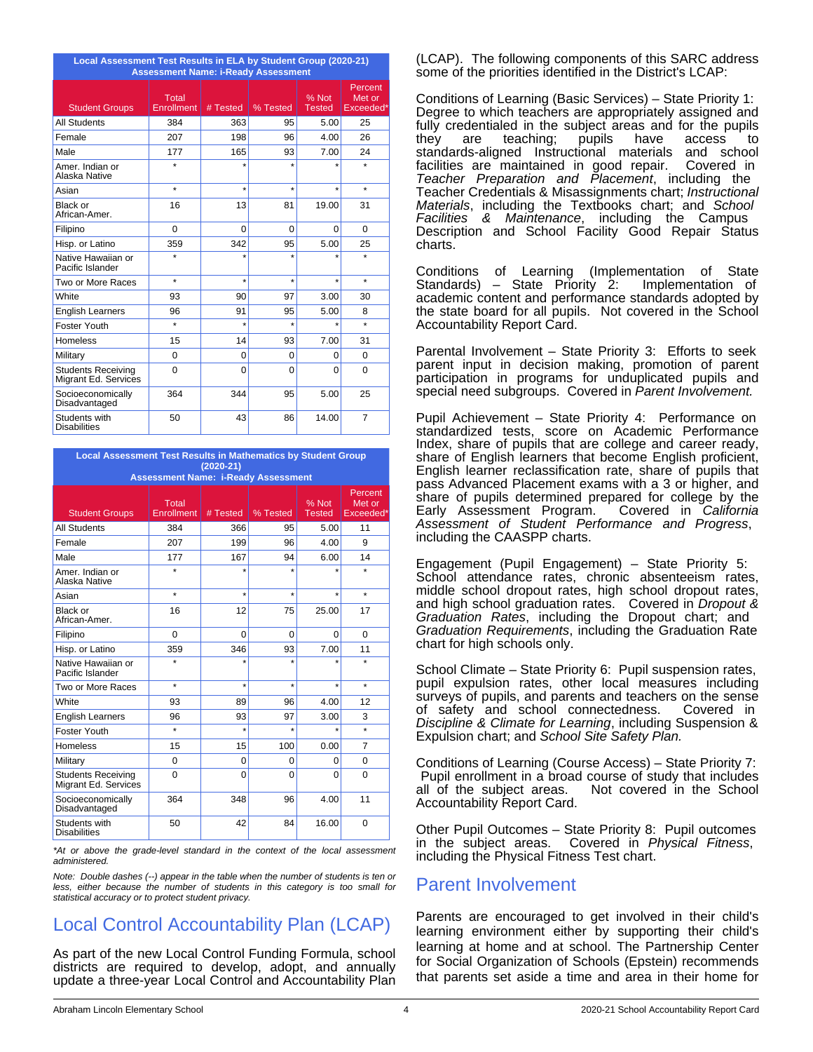| Local Assessment Test Results in ELA by Student Group (2020-21)<br><b>Assessment Name: i-Ready Assessment</b> |                            |          |          |                        |                                |
|---------------------------------------------------------------------------------------------------------------|----------------------------|----------|----------|------------------------|--------------------------------|
| <b>Student Groups</b>                                                                                         | Total<br><b>Enrollment</b> | # Tested | % Tested | % Not<br><b>Tested</b> | Percent<br>Met or<br>Exceeded* |
| <b>All Students</b>                                                                                           | 384                        | 363      | 95       | 5.00                   | 25                             |
| Female                                                                                                        | 207                        | 198      | 96       | 4.00                   | 26                             |
| Male                                                                                                          | 177                        | 165      | 93       | 7.00                   | 24                             |
| Amer, Indian or<br>Alaska Native                                                                              | $\star$                    |          |          |                        | ÷                              |
| Asian                                                                                                         | $\star$                    | $\star$  | $\star$  | $\star$                | $\star$                        |
| <b>Black or</b><br>African-Amer.                                                                              | 16                         | 13       | 81       | 19.00                  | 31                             |
| Filipino                                                                                                      | $\Omega$                   | $\Omega$ | $\Omega$ | $\Omega$               | $\Omega$                       |
| Hisp. or Latino                                                                                               | 359                        | 342      | 95       | 5.00                   | 25                             |
| Native Hawaiian or<br>Pacific Islander                                                                        | ÷                          | $\star$  | $\star$  |                        | ÷                              |
| Two or More Races                                                                                             | $\star$                    | $\star$  | $\star$  | $\star$                | $\star$                        |
| White                                                                                                         | 93                         | 90       | 97       | 3.00                   | 30                             |
| <b>English Learners</b>                                                                                       | 96                         | 91       | 95       | 5.00                   | 8                              |
| Foster Youth                                                                                                  | $\star$                    | $\star$  | $\star$  | $\star$                | $\star$                        |
| <b>Homeless</b>                                                                                               | 15                         | 14       | 93       | 7.00                   | 31                             |
| Military                                                                                                      | $\Omega$                   | $\Omega$ | $\Omega$ | $\Omega$               | $\Omega$                       |
| <b>Students Receiving</b><br>Migrant Ed. Services                                                             | $\mathbf 0$                | $\Omega$ | 0        | $\Omega$               | $\Omega$                       |
| Socioeconomically<br>Disadvantaged                                                                            | 364                        | 344      | 95       | 5.00                   | 25                             |
| Students with<br><b>Disabilities</b>                                                                          | 50                         | 43       | 86       | 14.00                  | $\overline{7}$                 |

**Local Assessment Test Results in Mathematics by Student Group (2020-21)**

| <b>Assessment Name: i-Ready Assessment</b>        |                     |          |                      |                        |                                |
|---------------------------------------------------|---------------------|----------|----------------------|------------------------|--------------------------------|
| <b>Student Groups</b>                             | Total<br>Enrollment | # Tested | % Tested             | % Not<br><b>Tested</b> | Percent<br>Met or<br>Exceeded* |
| <b>All Students</b>                               | 384                 | 366      | 95                   | 5.00                   | 11                             |
| Female                                            | 207                 | 199      | 96                   | 4.00                   | 9                              |
| Male                                              | 177                 | 167      | 94                   | 6.00                   | 14                             |
| Amer, Indian or<br>Alaska Native                  | $\star$             | $\star$  |                      | $\star$                | $\ddot{\phantom{a}}$           |
| Asian                                             | $\star$             | $\star$  | $\star$              | $\star$                | $\star$                        |
| Black or<br>African-Amer.                         | 16                  | 12       | 75                   | 25.00                  | 17                             |
| Filipino                                          | $\Omega$            | $\Omega$ | $\Omega$             | $\Omega$               | $\Omega$                       |
| Hisp. or Latino                                   | 359                 | 346      | 93                   | 7.00                   | 11                             |
| Native Hawaiian or<br>Pacific Islander            | $\star$             | $\star$  | ÷                    | $\star$                | $\star$                        |
| Two or More Races                                 | $\star$             | $\star$  | ÷                    | $\star$                | $\star$                        |
| White                                             | 93                  | 89       | 96                   | 4.00                   | 12                             |
| <b>English Learners</b>                           | 96                  | 93       | 97                   | 3.00                   | 3                              |
| Foster Youth                                      | $\star$             | ÷        | $\ddot{\phantom{a}}$ | ٠                      | ÷                              |
| <b>Homeless</b>                                   | 15                  | 15       | 100                  | 0.00                   | $\overline{7}$                 |
| Military                                          | $\Omega$            | 0        | $\Omega$             | 0                      | $\Omega$                       |
| <b>Students Receiving</b><br>Migrant Ed. Services | $\Omega$            | $\Omega$ | $\Omega$             | $\Omega$               | $\Omega$                       |
| Socioeconomically<br>Disadvantaged                | 364                 | 348      | 96                   | 4.00                   | 11                             |
| Students with<br><b>Disabilities</b>              | 50                  | 42       | 84                   | 16.00                  | $\Omega$                       |

*\*At or above the grade-level standard in the context of the local assessment administered.*

*Note: Double dashes (--) appear in the table when the number of students is ten or less, either because the number of students in this category is too small for statistical accuracy or to protect student privacy.*

# Local Control Accountability Plan (LCAP)

As part of the new Local Control Funding Formula, school districts are required to develop, adopt, and annually update a three-year Local Control and Accountability Plan (LCAP). The following components of this SARC address some of the priorities identified in the District's LCAP:

Conditions of Learning (Basic Services) – State Priority 1: Degree to which teachers are appropriately assigned and fully credentialed in the subject areas and for the pupils they are teaching; pupils have access to standards-aligned Instructional materials and school facilities are maintained in good repair. Covered in *Teacher Preparation and Placement*, including the Teacher Credentials & Misassignments chart; *Instructional Materials*, including the Textbooks chart; and *School Facilities & Maintenance*, including the Campus Description and School Facility Good Repair Status charts.

Conditions of Learning (Implementation of State Standards) – State Priority 2: academic content and performance standards adopted by the state board for all pupils. Not covered in the School Accountability Report Card.

Parental Involvement – State Priority 3: Efforts to seek parent input in decision making, promotion of parent participation in programs for unduplicated pupils and special need subgroups. Covered in *Parent Involvement.*

Pupil Achievement – State Priority 4: Performance on standardized tests, score on Academic Performance Index, share of pupils that are college and career ready, share of English learners that become English proficient, English learner reclassification rate, share of pupils that pass Advanced Placement exams with a 3 or higher, and share of pupils determined prepared for college by the<br>Early Assessment Program. Covered in California Early Assessment Program. *Assessment of Student Performance and Progress*, including the CAASPP charts.

Engagement (Pupil Engagement) – State Priority 5: School attendance rates, chronic absenteeism rates, middle school dropout rates, high school dropout rates, and high school graduation rates. Covered in *Dropout & Graduation Rates*, including the Dropout chart; and *Graduation Requirements*, including the Graduation Rate chart for high schools only.

School Climate – State Priority 6: Pupil suspension rates, pupil expulsion rates, other local measures including surveys of pupils, and parents and teachers on the sense of safety and school connectedness. Covered in *Discipline & Climate for Learning*, including Suspension & Expulsion chart; and *School Site Safety Plan.*

Conditions of Learning (Course Access) – State Priority 7: Pupil enrollment in a broad course of study that includes all of the subject areas. Accountability Report Card.

Other Pupil Outcomes – State Priority 8: Pupil outcomes in the subject areas. Covered in *Physical Fitness*, including the Physical Fitness Test chart.

## Parent Involvement

Parents are encouraged to get involved in their child's learning environment either by supporting their child's learning at home and at school. The Partnership Center for Social Organization of Schools (Epstein) recommends that parents set aside a time and area in their home for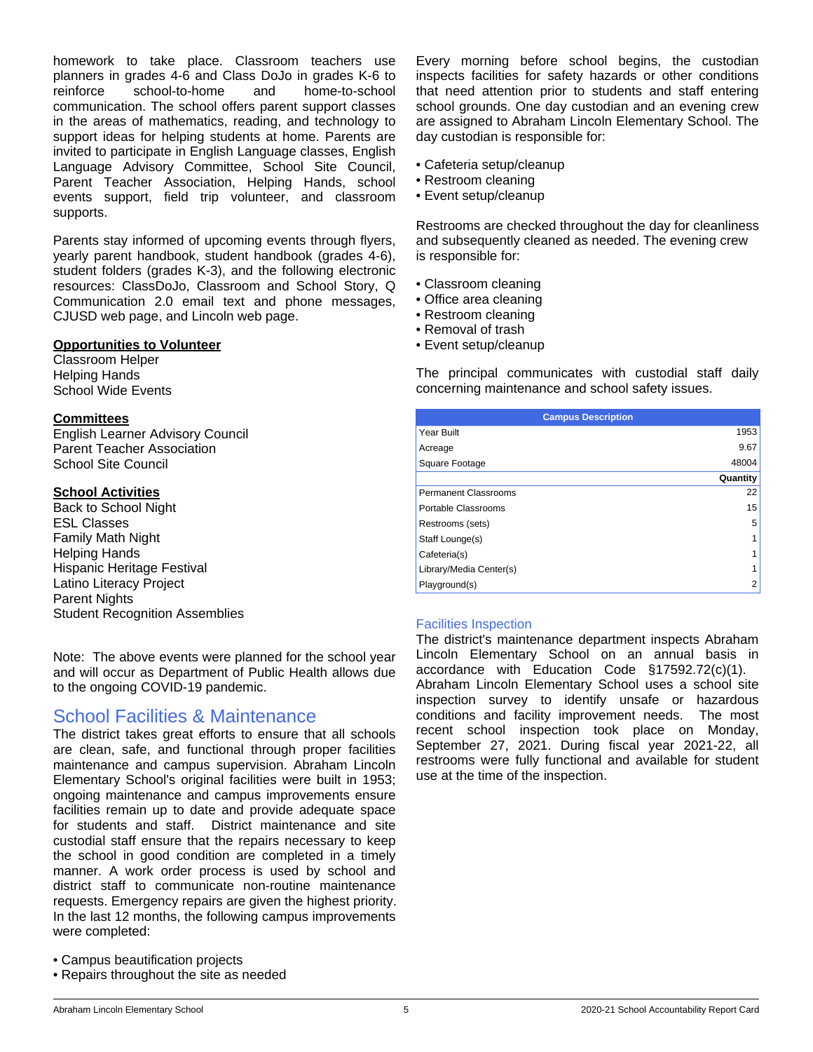homework to take place. Classroom teachers use planners in grades 4-6 and Class DoJo in grades K-6 to reinforce school-to-home and home-to-school communication. The school offers parent support classes in the areas of mathematics, reading, and technology to support ideas for helping students at home. Parents are invited to participate in English Language classes, English Language Advisory Committee, School Site Council, Parent Teacher Association, Helping Hands, school events support, field trip volunteer, and classroom supports.

Parents stay informed of upcoming events through flyers, yearly parent handbook, student handbook (grades 4-6), student folders (grades K-3), and the following electronic resources: ClassDoJo, Classroom and School Story, Q Communication 2.0 email text and phone messages, CJUSD web page, and Lincoln web page.

#### **Opportunities to Volunteer**

Classroom Helper Helping Hands School Wide Events

#### **Committees**

English Learner Advisory Council Parent Teacher Association School Site Council

#### **School Activities**

Back to School Night ESL Classes Family Math Night Helping Hands Hispanic Heritage Festival Latino Literacy Project Parent Nights Student Recognition Assemblies

Note: The above events were planned for the school year and will occur as Department of Public Health allows due to the ongoing COVID-19 pandemic.

### School Facilities & Maintenance

The district takes great efforts to ensure that all schools are clean, safe, and functional through proper facilities maintenance and campus supervision. Abraham Lincoln Elementary School's original facilities were built in 1953; ongoing maintenance and campus improvements ensure facilities remain up to date and provide adequate space for students and staff. District maintenance and site custodial staff ensure that the repairs necessary to keep the school in good condition are completed in a timely manner. A work order process is used by school and district staff to communicate non-routine maintenance requests. Emergency repairs are given the highest priority. In the last 12 months, the following campus improvements were completed:

- Campus beautification projects
- Repairs throughout the site as needed

Every morning before school begins, the custodian inspects facilities for safety hazards or other conditions that need attention prior to students and staff entering school grounds. One day custodian and an evening crew are assigned to Abraham Lincoln Elementary School. The day custodian is responsible for:

- Cafeteria setup/cleanup
- Restroom cleaning
- Event setup/cleanup

Restrooms are checked throughout the day for cleanliness and subsequently cleaned as needed. The evening crew is responsible for:

- Classroom cleaning
- Office area cleaning
- Restroom cleaning
- Removal of trash
- Event setup/cleanup

The principal communicates with custodial staff daily concerning maintenance and school safety issues.

| <b>Campus Description</b> |          |
|---------------------------|----------|
| Year Built                | 1953     |
| Acreage                   | 9.67     |
| Square Footage            | 48004    |
|                           | Quantity |
| Permanent Classrooms      | 22       |
| Portable Classrooms       | 15       |
| Restrooms (sets)          | 5        |
| Staff Lounge(s)           |          |
| Cafeteria(s)              |          |
| Library/Media Center(s)   |          |
| Playground(s)             | 2        |

#### Facilities Inspection

The district's maintenance department inspects Abraham Lincoln Elementary School on an annual basis in accordance with Education Code §17592.72(c)(1). Abraham Lincoln Elementary School uses a school site inspection survey to identify unsafe or hazardous conditions and facility improvement needs. The most recent school inspection took place on Monday, September 27, 2021. During fiscal year 2021-22, all restrooms were fully functional and available for student use at the time of the inspection.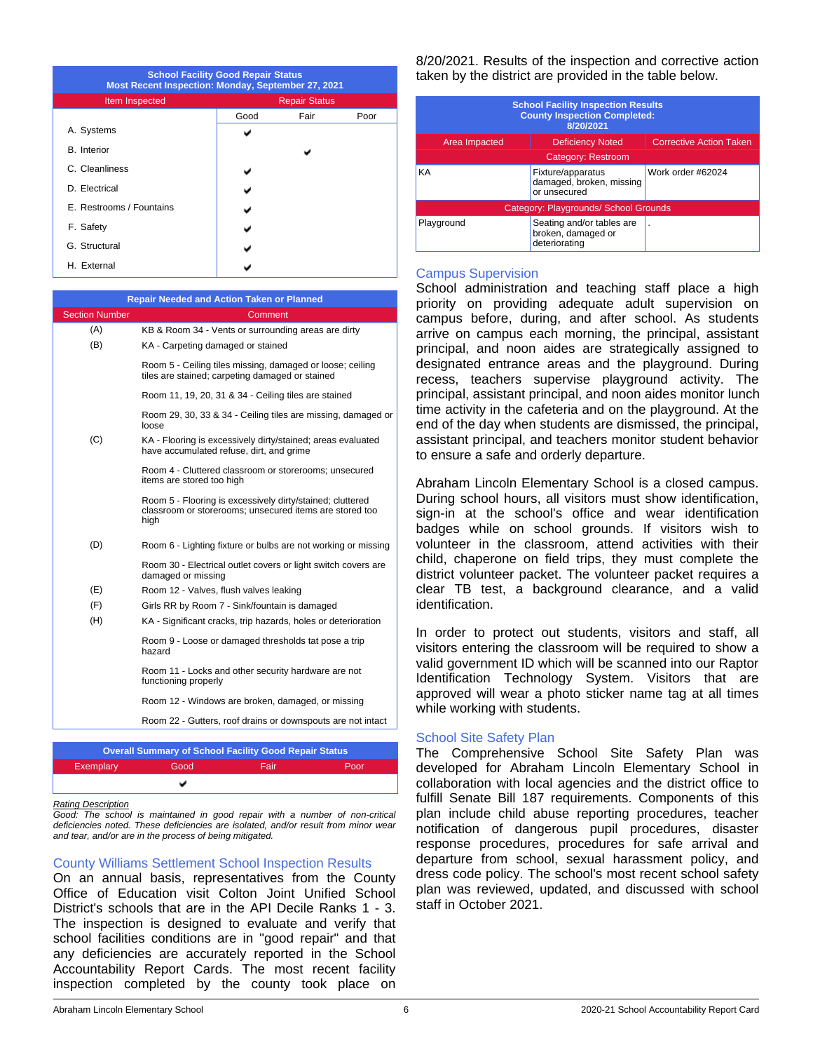| <b>School Facility Good Repair Status</b><br>Most Recent Inspection: Monday, September 27, 2021 |                      |      |      |  |
|-------------------------------------------------------------------------------------------------|----------------------|------|------|--|
| Item Inspected                                                                                  | <b>Repair Status</b> |      |      |  |
|                                                                                                 | Good                 | Fair | Poor |  |
| A. Systems                                                                                      |                      |      |      |  |
| <b>B.</b> Interior                                                                              |                      |      |      |  |
| C. Cleanliness                                                                                  |                      |      |      |  |
| D. Electrical                                                                                   |                      |      |      |  |
| E. Restrooms / Fountains                                                                        |                      |      |      |  |
| F. Safety                                                                                       |                      |      |      |  |
| G. Structural                                                                                   |                      |      |      |  |
| H. External                                                                                     |                      |      |      |  |

|                       | <b>Repair Needed and Action Taken or Planned</b>                                                                             |
|-----------------------|------------------------------------------------------------------------------------------------------------------------------|
| <b>Section Number</b> | Comment                                                                                                                      |
| (A)                   | KB & Room 34 - Vents or surrounding areas are dirty                                                                          |
| (B)                   | KA - Carpeting damaged or stained                                                                                            |
|                       | Room 5 - Ceiling tiles missing, damaged or loose; ceiling<br>tiles are stained; carpeting damaged or stained                 |
|                       | Room 11, 19, 20, 31 & 34 - Ceiling tiles are stained                                                                         |
|                       | Room 29, 30, 33 & 34 - Ceiling tiles are missing, damaged or<br>loose                                                        |
| (C)                   | KA - Flooring is excessively dirty/stained; areas evaluated<br>have accumulated refuse, dirt, and grime                      |
|                       | Room 4 - Cluttered classroom or storerooms; unsecured<br>items are stored too high                                           |
|                       | Room 5 - Flooring is excessively dirty/stained; cluttered<br>classroom or storerooms; unsecured items are stored too<br>high |
| (D)                   | Room 6 - Lighting fixture or bulbs are not working or missing                                                                |
|                       | Room 30 - Electrical outlet covers or light switch covers are<br>damaged or missing                                          |
| (E)                   | Room 12 - Valves, flush valves leaking                                                                                       |
| (F)                   | Girls RR by Room 7 - Sink/fountain is damaged                                                                                |
| (H)                   | KA - Significant cracks, trip hazards, holes or deterioration                                                                |
|                       | Room 9 - Loose or damaged thresholds tat pose a trip<br>hazard                                                               |
|                       | Room 11 - Locks and other security hardware are not<br>functioning properly                                                  |
|                       | Room 12 - Windows are broken, damaged, or missing                                                                            |
|                       | Room 22 - Gutters, roof drains or downspouts are not intact                                                                  |
|                       |                                                                                                                              |
|                       | <b>Overall Summary of School Facility Good Repair Status</b>                                                                 |

#### *Rating Description*

*Good: The school is maintained in good repair with a number of non-critical deficiencies noted. These deficiencies are isolated, and/or result from minor wear and tear, and/or are in the process of being mitigated.*

Exemplary Good Fair Poor

ں

#### County Williams Settlement School Inspection Results

On an annual basis, representatives from the County Office of Education visit Colton Joint Unified School District's schools that are in the API Decile Ranks 1 - 3. The inspection is designed to evaluate and verify that school facilities conditions are in "good repair" and that any deficiencies are accurately reported in the School Accountability Report Cards. The most recent facility inspection completed by the county took place on 8/20/2021. Results of the inspection and corrective action taken by the district are provided in the table below.

| <b>School Facility Inspection Results</b><br><b>County Inspection Completed:</b><br>8/20/2021 |                                                                  |                                |  |  |
|-----------------------------------------------------------------------------------------------|------------------------------------------------------------------|--------------------------------|--|--|
| Area Impacted                                                                                 | <b>Deficiency Noted</b>                                          | <b>Corrective Action Taken</b> |  |  |
| Category: Restroom                                                                            |                                                                  |                                |  |  |
| KA<br>Fixture/apparatus<br>damaged, broken, missing<br>or unsecured                           |                                                                  | Work order #62024              |  |  |
| Category: Playgrounds/ School Grounds                                                         |                                                                  |                                |  |  |
| Playground                                                                                    | Seating and/or tables are<br>broken, damaged or<br>deteriorating |                                |  |  |

#### Campus Supervision

School administration and teaching staff place a high priority on providing adequate adult supervision on campus before, during, and after school. As students arrive on campus each morning, the principal, assistant principal, and noon aides are strategically assigned to designated entrance areas and the playground. During recess, teachers supervise playground activity. The principal, assistant principal, and noon aides monitor lunch time activity in the cafeteria and on the playground. At the end of the day when students are dismissed, the principal, assistant principal, and teachers monitor student behavior to ensure a safe and orderly departure.

Abraham Lincoln Elementary School is a closed campus. During school hours, all visitors must show identification, sign-in at the school's office and wear identification badges while on school grounds. If visitors wish to volunteer in the classroom, attend activities with their child, chaperone on field trips, they must complete the district volunteer packet. The volunteer packet requires a clear TB test, a background clearance, and a valid identification.

In order to protect out students, visitors and staff, all visitors entering the classroom will be required to show a valid government ID which will be scanned into our Raptor Identification Technology System. Visitors that are approved will wear a photo sticker name tag at all times while working with students.

#### School Site Safety Plan

The Comprehensive School Site Safety Plan was developed for Abraham Lincoln Elementary School in collaboration with local agencies and the district office to fulfill Senate Bill 187 requirements. Components of this plan include child abuse reporting procedures, teacher notification of dangerous pupil procedures, disaster response procedures, procedures for safe arrival and departure from school, sexual harassment policy, and dress code policy. The school's most recent school safety plan was reviewed, updated, and discussed with school staff in October 2021.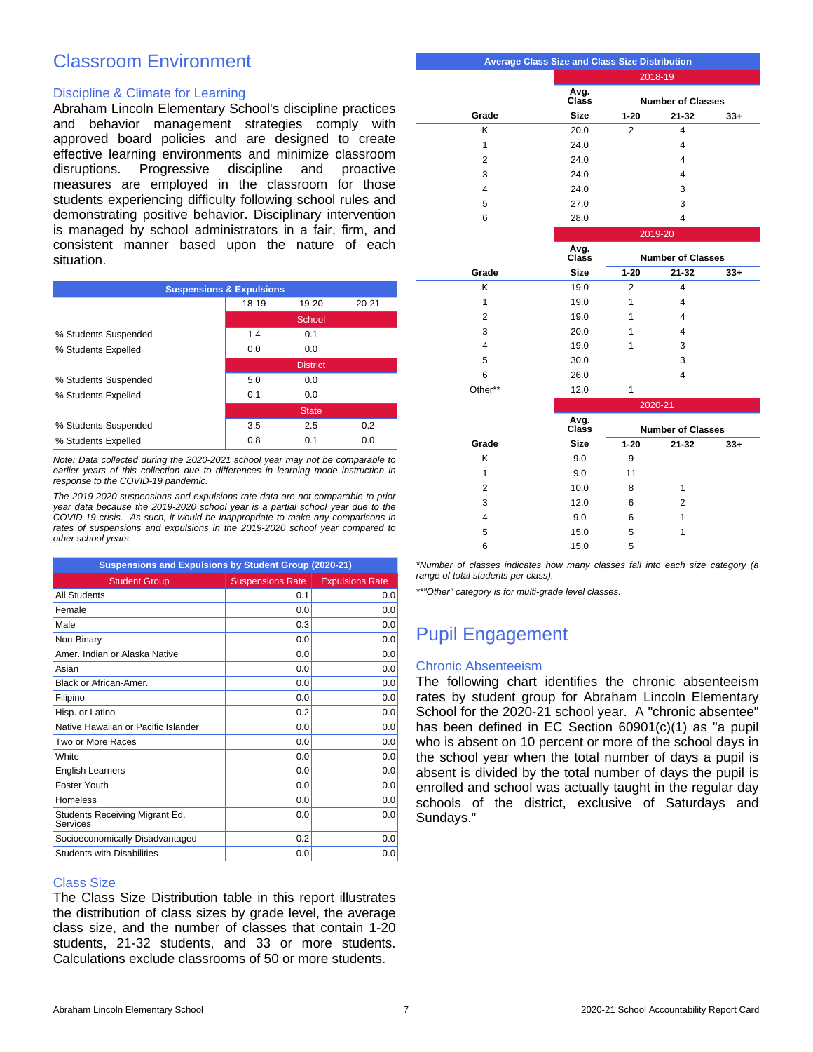## Classroom Environment

#### Discipline & Climate for Learning

Abraham Lincoln Elementary School's discipline practices and behavior management strategies comply with approved board policies and are designed to create effective learning environments and minimize classroom disruptions. Progressive discipline and proactive measures are employed in the classroom for those students experiencing difficulty following school rules and demonstrating positive behavior. Disciplinary intervention is managed by school administrators in a fair, firm, and consistent manner based upon the nature of each situation.

| <b>Suspensions &amp; Expulsions</b> |       |                 |       |  |  |
|-------------------------------------|-------|-----------------|-------|--|--|
|                                     | 18-19 | $19-20$         | 20-21 |  |  |
|                                     |       | School          |       |  |  |
| % Students Suspended                | 1.4   | 0.1             |       |  |  |
| % Students Expelled                 | 0.0   | 0.0             |       |  |  |
|                                     |       | <b>District</b> |       |  |  |
| % Students Suspended                | 5.0   | 0.0             |       |  |  |
| % Students Expelled                 | 0.1   | 0.0             |       |  |  |
|                                     |       | <b>State</b>    |       |  |  |
| % Students Suspended                | 3.5   | 2.5             | 0.2   |  |  |
| % Students Expelled                 | 0.8   | 0.1             | 0.0   |  |  |

*Note: Data collected during the 2020-2021 school year may not be comparable to earlier years of this collection due to differences in learning mode instruction in response to the COVID-19 pandemic.*

*The 2019-2020 suspensions and expulsions rate data are not comparable to prior year data because the 2019-2020 school year is a partial school year due to the COVID-19 crisis. As such, it would be inappropriate to make any comparisons in rates of suspensions and expulsions in the 2019-2020 school year compared to other school years.*

| Suspensions and Expulsions by Student Group (2020-21) |                         |                        |  |  |
|-------------------------------------------------------|-------------------------|------------------------|--|--|
| <b>Student Group</b>                                  | <b>Suspensions Rate</b> | <b>Expulsions Rate</b> |  |  |
| All Students                                          | 0.1                     | 0.0                    |  |  |
| Female                                                | 0.0                     | 0.0                    |  |  |
| Male                                                  | 0.3                     | 0.0                    |  |  |
| Non-Binary                                            | 0.0                     | 0.0                    |  |  |
| Amer Indian or Alaska Native                          | 0.0                     | 0.0                    |  |  |
| Asian                                                 | 0.0                     | 0.0                    |  |  |
| Black or African-Amer.                                | 0.0                     | 0.0                    |  |  |
| Filipino                                              | 0.0                     | 0.0                    |  |  |
| Hisp. or Latino                                       | 0.2                     | 0.0                    |  |  |
| Native Hawaiian or Pacific Islander                   | 0.0                     | 0.0                    |  |  |
| Two or More Races                                     | 0.0                     | 0.0                    |  |  |
| <b>White</b>                                          | 0.0                     | 0.0                    |  |  |
| <b>English Learners</b>                               | 0.0                     | 0.0                    |  |  |
| <b>Foster Youth</b>                                   | 0.0                     | 0.0                    |  |  |
| Homeless                                              | 0.0                     | 0.0                    |  |  |
| Students Receiving Migrant Ed.<br>Services            | 0.0                     | 0.0                    |  |  |
| Socioeconomically Disadvantaged                       | 0.2                     | 0.0                    |  |  |
| <b>Students with Disabilities</b>                     | 0.0                     | 0.0                    |  |  |

#### Class Size

The Class Size Distribution table in this report illustrates the distribution of class sizes by grade level, the average class size, and the number of classes that contain 1-20 students, 21-32 students, and 33 or more students. Calculations exclude classrooms of 50 or more students.

| <b>Average Class Size and Class Size Distribution</b> |               |                          |                          |       |  |
|-------------------------------------------------------|---------------|--------------------------|--------------------------|-------|--|
|                                                       |               |                          | 2018-19                  |       |  |
|                                                       | Avg.<br>Class | <b>Number of Classes</b> |                          |       |  |
| Grade                                                 | <b>Size</b>   | $1 - 20$                 | $21 - 32$                | $33+$ |  |
| K                                                     | 20.0          | $\overline{2}$           | $\overline{4}$           |       |  |
| $\mathbf{1}$                                          | 24.0          |                          | 4                        |       |  |
| $\overline{2}$                                        | 24.0          |                          | 4                        |       |  |
| 3                                                     | 24.0          |                          | 4                        |       |  |
| $\overline{4}$                                        | 24.0          |                          | 3                        |       |  |
| 5                                                     | 27.0          |                          | 3                        |       |  |
| 6                                                     | 28.0          |                          | 4                        |       |  |
|                                                       |               |                          | 2019-20                  |       |  |
|                                                       | Avg.<br>Class |                          | <b>Number of Classes</b> |       |  |
| Grade                                                 | <b>Size</b>   | $1 - 20$                 | $21 - 32$                | $33+$ |  |
| K                                                     | 19.0          | 2                        | 4                        |       |  |
| $\mathbf{1}$                                          | 19.0          | 1                        | 4                        |       |  |
| $\overline{2}$                                        | 19.0          | 1                        | $\overline{4}$           |       |  |
| 3                                                     | 20.0          | 1                        | 4                        |       |  |
| 4                                                     | 19.0          | 1                        | 3                        |       |  |
| 5                                                     | 30.0          |                          | 3                        |       |  |
| 6                                                     | 26.0          |                          | 4                        |       |  |
| Other**                                               | 12.0          | $\mathbf{1}$             |                          |       |  |
|                                                       |               |                          | 2020-21                  |       |  |
|                                                       | Avg.<br>Class |                          | <b>Number of Classes</b> |       |  |
| Grade                                                 | <b>Size</b>   | $1 - 20$                 | $21 - 32$                | $33+$ |  |
| K                                                     | 9.0           | 9                        |                          |       |  |
| $\mathbf{1}$                                          | 9.0           | 11                       |                          |       |  |
| $\overline{2}$                                        | 10.0          | 8                        | 1                        |       |  |
| 3                                                     | 12.0          | 6                        | $\overline{2}$           |       |  |
| 4                                                     | 9.0           | 6                        | 1                        |       |  |
| 5                                                     | 15.0          | 5                        | 1                        |       |  |
| 6                                                     | 15.0          | 5                        |                          |       |  |

*\*Number of classes indicates how many classes fall into each size category (a range of total students per class).*

*\*\*"Other" category is for multi-grade level classes.*

# Pupil Engagement

#### Chronic Absenteeism

The following chart identifies the chronic absenteeism rates by student group for Abraham Lincoln Elementary School for the 2020-21 school year. A "chronic absentee" has been defined in EC Section 60901(c)(1) as "a pupil who is absent on 10 percent or more of the school days in the school year when the total number of days a pupil is absent is divided by the total number of days the pupil is enrolled and school was actually taught in the regular day schools of the district, exclusive of Saturdays and Sundays."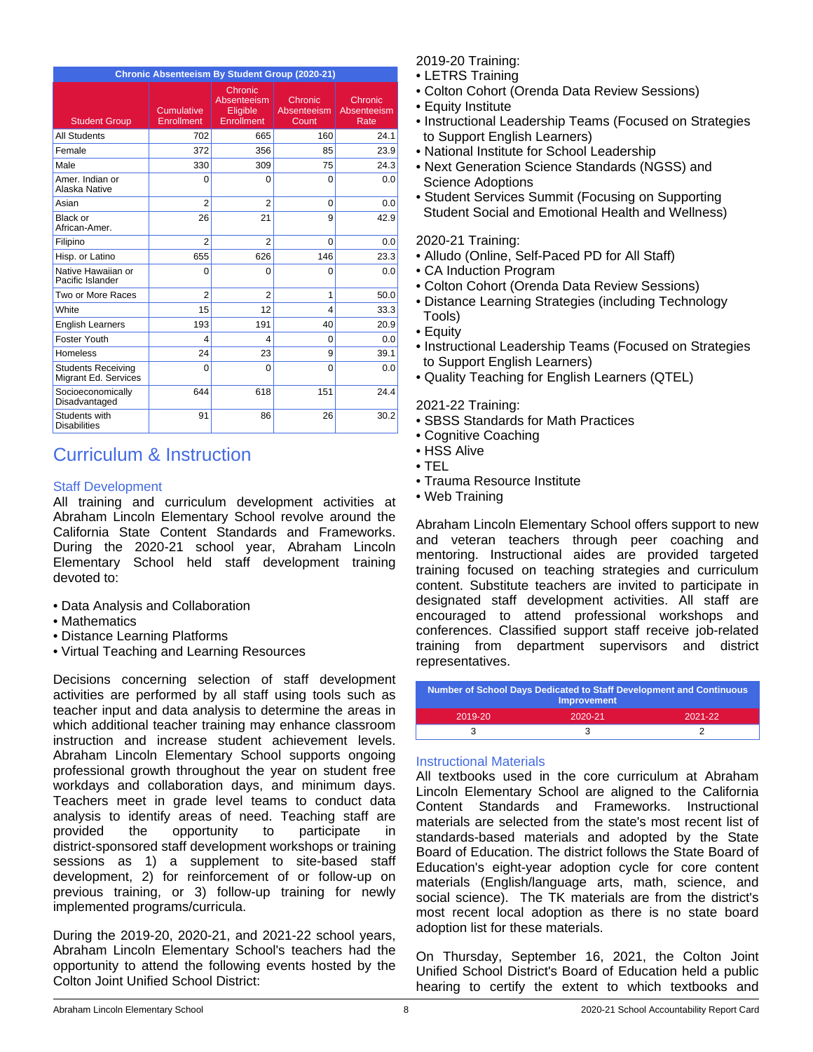| Chronic Absenteeism By Student Group (2020-21)    |                          |                                                         |                                        |                                |  |  |
|---------------------------------------------------|--------------------------|---------------------------------------------------------|----------------------------------------|--------------------------------|--|--|
| <b>Student Group</b>                              | Cumulative<br>Enrollment | Chronic<br>Absenteeism<br>Eligible<br><b>Enrollment</b> | Chronic<br><b>Absenteeism</b><br>Count | Chronic<br>Absenteeism<br>Rate |  |  |
| <b>All Students</b>                               | 702                      | 665                                                     | 160                                    | 24.1                           |  |  |
| Female                                            | 372                      | 356                                                     | 85                                     | 23.9                           |  |  |
| Male                                              | 330                      | 309                                                     | 75                                     | 24.3                           |  |  |
| Amer, Indian or<br>Alaska Native                  | $\Omega$                 | $\Omega$                                                | $\Omega$                               | 0.0                            |  |  |
| Asian                                             | $\overline{2}$           | $\overline{2}$                                          | $\Omega$                               | 0.0                            |  |  |
| Black or<br>African-Amer.                         | 26                       | 21                                                      | 9                                      | 42.9                           |  |  |
| Filipino                                          | $\overline{2}$           | $\overline{2}$                                          | $\Omega$                               | 0.0                            |  |  |
| Hisp. or Latino                                   | 655                      | 626                                                     | 146                                    | 23.3                           |  |  |
| Native Hawaiian or<br>Pacific Islander            | 0                        | $\Omega$                                                | $\Omega$                               | 0.0                            |  |  |
| Two or More Races                                 | $\overline{2}$           | $\overline{2}$                                          | 1                                      | 50.0                           |  |  |
| White                                             | 15                       | 12                                                      | $\overline{4}$                         | 33.3                           |  |  |
| <b>English Learners</b>                           | 193                      | 191                                                     | 40                                     | 20.9                           |  |  |
| Foster Youth                                      | 4                        | 4                                                       | $\Omega$                               | 0.0                            |  |  |
| Homeless                                          | 24                       | 23                                                      | 9                                      | 39.1                           |  |  |
| <b>Students Receiving</b><br>Migrant Ed. Services | 0                        | $\Omega$                                                | $\Omega$                               | 0.0                            |  |  |
| Socioeconomically<br>Disadvantaged                | 644                      | 618                                                     | 151                                    | 24.4                           |  |  |
| Students with<br><b>Disabilities</b>              | 91                       | 86                                                      | 26                                     | 30.2                           |  |  |

# Curriculum & Instruction

### Staff Development

All training and curriculum development activities at Abraham Lincoln Elementary School revolve around the California State Content Standards and Frameworks. During the 2020-21 school year, Abraham Lincoln Elementary School held staff development training devoted to:

- Data Analysis and Collaboration
- Mathematics
- Distance Learning Platforms
- Virtual Teaching and Learning Resources

Decisions concerning selection of staff development activities are performed by all staff using tools such as teacher input and data analysis to determine the areas in which additional teacher training may enhance classroom instruction and increase student achievement levels. Abraham Lincoln Elementary School supports ongoing professional growth throughout the year on student free workdays and collaboration days, and minimum days. Teachers meet in grade level teams to conduct data analysis to identify areas of need. Teaching staff are provided the opportunity to participate in district-sponsored staff development workshops or training sessions as 1) a supplement to site-based staff development, 2) for reinforcement of or follow-up on previous training, or 3) follow-up training for newly implemented programs/curricula.

During the 2019-20, 2020-21, and 2021-22 school years, Abraham Lincoln Elementary School's teachers had the opportunity to attend the following events hosted by the Colton Joint Unified School District:

2019-20 Training:

- LETRS Training
- Colton Cohort (Orenda Data Review Sessions)
- Equity Institute
- Instructional Leadership Teams (Focused on Strategies to Support English Learners)
- National Institute for School Leadership
- Next Generation Science Standards (NGSS) and Science Adoptions
- Student Services Summit (Focusing on Supporting Student Social and Emotional Health and Wellness)

### 2020-21 Training:

- Alludo (Online, Self-Paced PD for All Staff)
- CA Induction Program
- Colton Cohort (Orenda Data Review Sessions)
- Distance Learning Strategies (including Technology Tools)
- Equity
- Instructional Leadership Teams (Focused on Strategies to Support English Learners)
- Quality Teaching for English Learners (QTEL)

#### 2021-22 Training:

- SBSS Standards for Math Practices
- Cognitive Coaching
- HSS Alive
- TEL
- Trauma Resource Institute
- Web Training

Abraham Lincoln Elementary School offers support to new and veteran teachers through peer coaching and mentoring. Instructional aides are provided targeted training focused on teaching strategies and curriculum content. Substitute teachers are invited to participate in designated staff development activities. All staff are encouraged to attend professional workshops and conferences. Classified support staff receive job-related training from department supervisors and district representatives.

| <b>Number of School Days Dedicated to Staff Development and Continuous</b><br><b>Improvement</b> |         |         |  |  |
|--------------------------------------------------------------------------------------------------|---------|---------|--|--|
| 2019-20                                                                                          | 2020-21 | 2021-22 |  |  |
|                                                                                                  |         |         |  |  |

### Instructional Materials

All textbooks used in the core curriculum at Abraham Lincoln Elementary School are aligned to the California Content Standards and Frameworks. Instructional materials are selected from the state's most recent list of standards-based materials and adopted by the State Board of Education. The district follows the State Board of Education's eight-year adoption cycle for core content materials (English/language arts, math, science, and social science). The TK materials are from the district's most recent local adoption as there is no state board adoption list for these materials.

On Thursday, September 16, 2021, the Colton Joint Unified School District's Board of Education held a public hearing to certify the extent to which textbooks and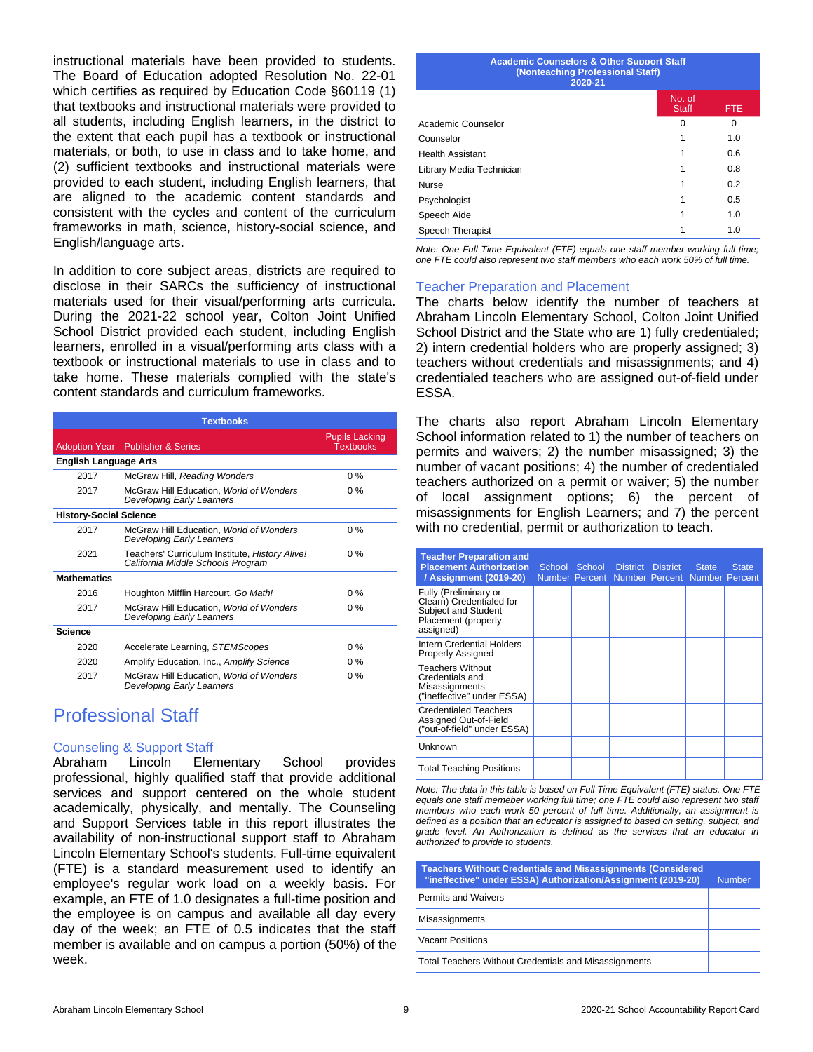instructional materials have been provided to students. The Board of Education adopted Resolution No. 22-01 which certifies as required by Education Code §60119 (1) that textbooks and instructional materials were provided to all students, including English learners, in the district to the extent that each pupil has a textbook or instructional materials, or both, to use in class and to take home, and (2) sufficient textbooks and instructional materials were provided to each student, including English learners, that are aligned to the academic content standards and consistent with the cycles and content of the curriculum frameworks in math, science, history-social science, and English/language arts.

In addition to core subject areas, districts are required to disclose in their SARCs the sufficiency of instructional materials used for their visual/performing arts curricula. During the 2021-22 school year, Colton Joint Unified School District provided each student, including English learners, enrolled in a visual/performing arts class with a textbook or instructional materials to use in class and to take home. These materials complied with the state's content standards and curriculum frameworks.

| <b>Textbooks</b>              |                                                                                     |                                           |  |  |  |
|-------------------------------|-------------------------------------------------------------------------------------|-------------------------------------------|--|--|--|
|                               | <b>Adoption Year</b> Publisher & Series                                             | <b>Pupils Lacking</b><br><b>Textbooks</b> |  |  |  |
| <b>English Language Arts</b>  |                                                                                     |                                           |  |  |  |
| 2017                          | McGraw Hill, Reading Wonders                                                        | $0\%$                                     |  |  |  |
| 2017                          | McGraw Hill Education, World of Wonders<br><b>Developing Early Learners</b>         | $0\%$                                     |  |  |  |
| <b>History-Social Science</b> |                                                                                     |                                           |  |  |  |
| 2017                          | McGraw Hill Education, World of Wonders<br><b>Developing Early Learners</b>         | $0\%$                                     |  |  |  |
| 2021                          | Teachers' Curriculum Institute, History Alive!<br>California Middle Schools Program | $0\%$                                     |  |  |  |
| <b>Mathematics</b>            |                                                                                     |                                           |  |  |  |
| 2016                          | Houghton Mifflin Harcourt, Go Math!                                                 | $0\%$                                     |  |  |  |
| 2017                          | McGraw Hill Education, World of Wonders<br>Developing Early Learners                | $0\%$                                     |  |  |  |
| <b>Science</b>                |                                                                                     |                                           |  |  |  |
| 2020                          | Accelerate Learning, STEMScopes                                                     | $0\%$                                     |  |  |  |
| 2020                          | Amplify Education, Inc., Amplify Science                                            | $0\%$                                     |  |  |  |
| 2017                          | McGraw Hill Education, World of Wonders<br><b>Developing Early Learners</b>         | $0\%$                                     |  |  |  |

# Professional Staff

### Counseling & Support Staff

Abraham Lincoln Elementary School provides professional, highly qualified staff that provide additional services and support centered on the whole student academically, physically, and mentally. The Counseling and Support Services table in this report illustrates the availability of non-instructional support staff to Abraham Lincoln Elementary School's students. Full-time equivalent (FTE) is a standard measurement used to identify an employee's regular work load on a weekly basis. For example, an FTE of 1.0 designates a full-time position and the employee is on campus and available all day every day of the week; an FTE of 0.5 indicates that the staff member is available and on campus a portion (50%) of the week.

| <b>Academic Counselors &amp; Other Support Staff</b><br>(Nonteaching Professional Staff)<br>2020-21 |                        |            |
|-----------------------------------------------------------------------------------------------------|------------------------|------------|
|                                                                                                     | No. of<br><b>Staff</b> | <b>FTE</b> |
| Academic Counselor                                                                                  | $\Omega$               | $\Omega$   |
| Counselor                                                                                           |                        | 1.0        |
| Health Assistant                                                                                    |                        | 0.6        |
| Library Media Technician                                                                            |                        | 0.8        |
| Nurse                                                                                               |                        | 0.2        |
| Psychologist                                                                                        |                        | 0.5        |
| Speech Aide                                                                                         |                        | 1.0        |
| Speech Therapist                                                                                    |                        | 1.0        |

*Note: One Full Time Equivalent (FTE) equals one staff member working full time; one FTE could also represent two staff members who each work 50% of full time.*

#### Teacher Preparation and Placement

The charts below identify the number of teachers at Abraham Lincoln Elementary School, Colton Joint Unified School District and the State who are 1) fully credentialed; 2) intern credential holders who are properly assigned; 3) teachers without credentials and misassignments; and 4) credentialed teachers who are assigned out-of-field under ESSA.

The charts also report Abraham Lincoln Elementary School information related to 1) the number of teachers on permits and waivers; 2) the number misassigned; 3) the number of vacant positions; 4) the number of credentialed teachers authorized on a permit or waiver; 5) the number of local assignment options; 6) the percent of misassignments for English Learners; and 7) the percent with no credential, permit or authorization to teach.

| <b>Teacher Preparation and</b><br><b>Placement Authorization</b><br>/ Assignment (2019-20)                   |  | School School District District State<br>Number Percent Number Percent Number Percent | <b>State</b> |
|--------------------------------------------------------------------------------------------------------------|--|---------------------------------------------------------------------------------------|--------------|
| Fully (Preliminary or<br>Clearn) Credentialed for<br>Subject and Student<br>Placement (properly<br>assigned) |  |                                                                                       |              |
| Intern Credential Holders<br><b>Properly Assigned</b>                                                        |  |                                                                                       |              |
| <b>Teachers Without</b><br>Credentials and<br>Misassignments<br>("ineffective" under ESSA)                   |  |                                                                                       |              |
| <b>Credentialed Teachers</b><br>Assigned Out-of-Field<br>("out-of-field" under ESSA)                         |  |                                                                                       |              |
| Unknown                                                                                                      |  |                                                                                       |              |
| <b>Total Teaching Positions</b>                                                                              |  |                                                                                       |              |

*Note: The data in this table is based on Full Time Equivalent (FTE) status. One FTE equals one staff memeber working full time; one FTE could also represent two staff members who each work 50 percent of full time. Additionally, an assignment is defined as a position that an educator is assigned to based on setting, subject, and grade level. An Authorization is defined as the services that an educator in authorized to provide to students.*

| <b>Teachers Without Credentials and Misassignments (Considered)</b><br>"ineffective" under ESSA) Authorization/Assignment (2019-20) | <b>Number</b> |
|-------------------------------------------------------------------------------------------------------------------------------------|---------------|
| <b>Permits and Waivers</b>                                                                                                          |               |
| Misassignments                                                                                                                      |               |
| Vacant Positions                                                                                                                    |               |
| Total Teachers Without Credentials and Misassignments                                                                               |               |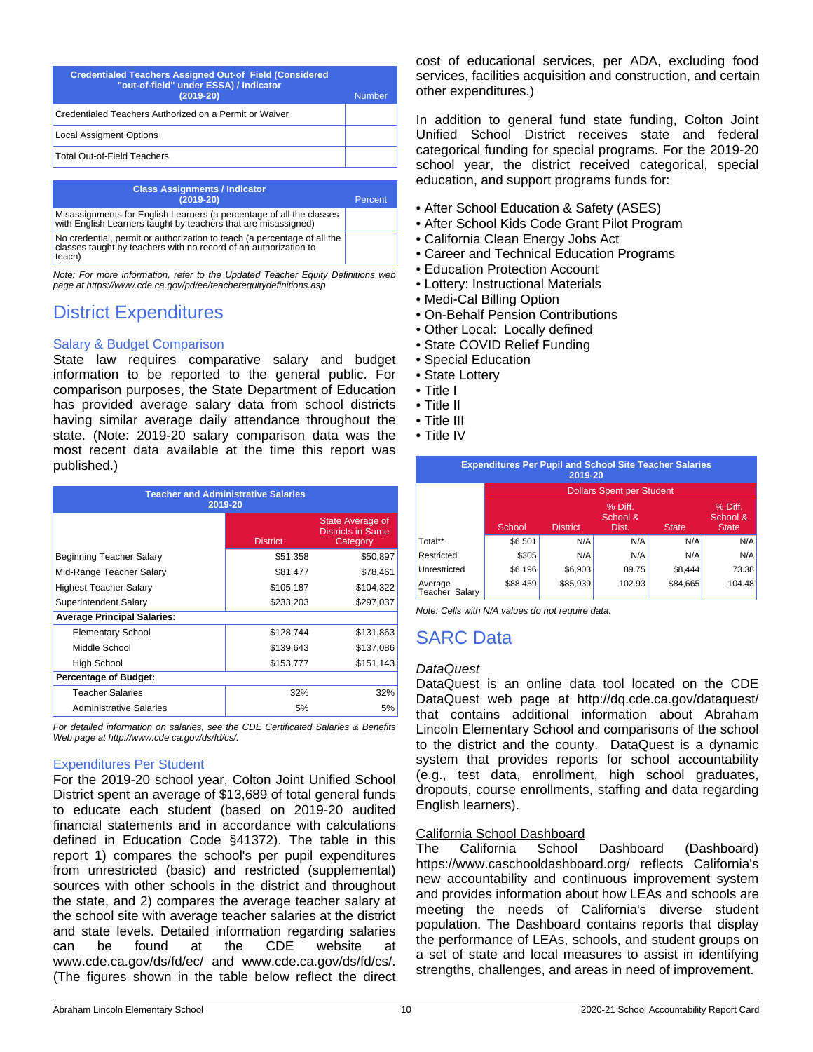| <b>Credentialed Teachers Assigned Out-of Field (Considered)</b><br>"out-of-field" under ESSA) / Indicator<br>$(2019-20)$ | Number |
|--------------------------------------------------------------------------------------------------------------------------|--------|
| Credentialed Teachers Authorized on a Permit or Waiver                                                                   |        |
| <b>Local Assigment Options</b>                                                                                           |        |
| Total Out-of-Field Teachers                                                                                              |        |
|                                                                                                                          |        |

| <b>Class Assignments / Indicator</b><br>$(2019-20)$                                                                                                    | Percent |
|--------------------------------------------------------------------------------------------------------------------------------------------------------|---------|
| Misassignments for English Learners (a percentage of all the classes<br>with English Learners taught by teachers that are misassigned)                 |         |
| No credential, permit or authorization to teach (a percentage of all the<br>classes taught by teachers with no record of an authorization to<br>teach) |         |

*Note: For more information, refer to the Updated Teacher Equity Definitions web page at https://www.cde.ca.gov/pd/ee/teacherequitydefinitions.asp*

# District Expenditures

### Salary & Budget Comparison

State law requires comparative salary and budget information to be reported to the general public. For comparison purposes, the State Department of Education has provided average salary data from school districts having similar average daily attendance throughout the state. (Note: 2019-20 salary comparison data was the most recent data available at the time this report was published.)

| <b>Teacher and Administrative Salaries</b><br>2019-20 |                 |                                                          |  |  |  |
|-------------------------------------------------------|-----------------|----------------------------------------------------------|--|--|--|
|                                                       | <b>District</b> | State Average of<br><b>Districts in Same</b><br>Category |  |  |  |
| Beginning Teacher Salary                              | \$51,358        | \$50,897                                                 |  |  |  |
| Mid-Range Teacher Salary                              | \$81,477        | \$78,461                                                 |  |  |  |
| <b>Highest Teacher Salary</b>                         | \$105,187       | \$104,322                                                |  |  |  |
| Superintendent Salary                                 | \$233,203       | \$297,037                                                |  |  |  |
| <b>Average Principal Salaries:</b>                    |                 |                                                          |  |  |  |
| <b>Elementary School</b>                              | \$128,744       | \$131,863                                                |  |  |  |
| Middle School                                         | \$139,643       | \$137,086                                                |  |  |  |
| <b>High School</b>                                    | \$153,777       | \$151,143                                                |  |  |  |
| <b>Percentage of Budget:</b>                          |                 |                                                          |  |  |  |
| <b>Teacher Salaries</b>                               | 32%             | 32%                                                      |  |  |  |
| <b>Administrative Salaries</b>                        | 5%              | 5%                                                       |  |  |  |

*For detailed information on salaries, see the CDE Certificated Salaries & Benefits Web page at http://www.cde.ca.gov/ds/fd/cs/.*

### Expenditures Per Student

For the 2019-20 school year, Colton Joint Unified School District spent an average of \$13,689 of total general funds to educate each student (based on 2019-20 audited financial statements and in accordance with calculations defined in Education Code §41372). The table in this report 1) compares the school's per pupil expenditures from unrestricted (basic) and restricted (supplemental) sources with other schools in the district and throughout the state, and 2) compares the average teacher salary at the school site with average teacher salaries at the district and state levels. Detailed information regarding salaries can be found at the CDE website at www.cde.ca.gov/ds/fd/ec/ and www.cde.ca.gov/ds/fd/cs/. (The figures shown in the table below reflect the direct cost of educational services, per ADA, excluding food services, facilities acquisition and construction, and certain other expenditures.)

In addition to general fund state funding, Colton Joint Unified School District receives state and federal categorical funding for special programs. For the 2019-20 school year, the district received categorical, special education, and support programs funds for:

- After School Education & Safety (ASES)
- After School Kids Code Grant Pilot Program
- California Clean Energy Jobs Act
- Career and Technical Education Programs
- Education Protection Account
- Lottery: Instructional Materials
- Medi-Cal Billing Option
- On-Behalf Pension Contributions
- Other Local: Locally defined
- State COVID Relief Funding
- Special Education
- State Lottery
- Title I
- Title II
- Title III
- Title IV

| <b>Expenditures Per Pupil and School Site Teacher Salaries</b><br>2019-20 |                                  |                 |                              |              |                                     |  |
|---------------------------------------------------------------------------|----------------------------------|-----------------|------------------------------|--------------|-------------------------------------|--|
|                                                                           | <b>Dollars Spent per Student</b> |                 |                              |              |                                     |  |
|                                                                           | School                           | <b>District</b> | % Diff.<br>School &<br>Dist. | <b>State</b> | % Diff.<br>School &<br><b>State</b> |  |
| Total**                                                                   | \$6,501                          | N/A             | N/A                          | N/A          | N/A                                 |  |
| Restricted                                                                | \$305                            | N/A             | N/A                          | N/A          | N/A                                 |  |
| Unrestricted                                                              | \$6,196                          | \$6,903         | 89.75                        | \$8.444      | 73.38                               |  |
| Average<br>Teacher<br>Salarv                                              | \$88,459                         | \$85,939        | 102.93                       | \$84.665     | 104.48                              |  |

with N/A values do not require data.

# C Data

#### *DataQuest*

DataQuest is an online data tool located on the CDE DataQuest web page at http://dq.cde.ca.gov/dataquest/ that contains additional information about Abraham Lincoln Elementary School and comparisons of the school to the district and the county. DataQuest is a dynamic system that provides reports for school accountability (e.g., test data, enrollment, high school graduates, dropouts, course enrollments, staffing and data regarding English learners).

### California School Dashboard

The California School Dashboard (Dashboard) https://www.caschooldashboard.org/ reflects California's new accountability and continuous improvement system and provides information about how LEAs and schools are meeting the needs of California's diverse student population. The Dashboard contains reports that display the performance of LEAs, schools, and student groups on a set of state and local measures to assist in identifying strengths, challenges, and areas in need of improvement.

|   | \$104,322 | Average<br>Teacher Sa |
|---|-----------|-----------------------|
|   | \$297.037 | Note: Cells           |
| 4 | \$131,863 | <b>SARC</b>           |
|   | \$137.086 |                       |